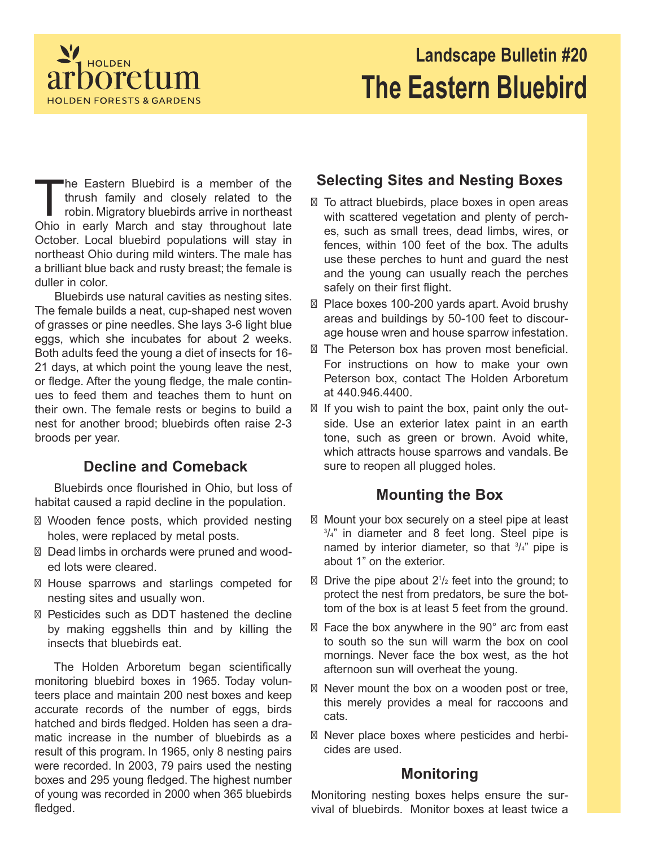

# **Landscape Bulletin #20 The Eastern Bluebird**

The Eastern Bluebird is a member of the thrush family and closely related to the robin. Migratory bluebirds arrive in northeast Ohio in early March and stay throughout late he Eastern Bluebird is a member of the thrush family and closely related to the robin. Migratory bluebirds arrive in northeast October. Local bluebird populations will stay in northeast Ohio during mild winters. The male has a brilliant blue back and rusty breast; the female is duller in color.

Bluebirds use natural cavities as nesting sites. The female builds a neat, cup-shaped nest woven of grasses or pine needles. She lays 3-6 light blue eggs, which she incubates for about 2 weeks. Both adults feed the young a diet of insects for 16- 21 days, at which point the young leave the nest, or fledge. After the young fledge, the male continues to feed them and teaches them to hunt on their own. The female rests or begins to build a nest for another brood; bluebirds often raise 2-3 broods per year.

### **Decline and Comeback**

Bluebirds once flourished in Ohio, but loss of habitat caused a rapid decline in the population.

- Wooden fence posts, which provided nesting holes, were replaced by metal posts.
- Dead limbs in orchards were pruned and wooded lots were cleared.
- ⊠ House sparrows and starlings competed for nesting sites and usually won.
- Pesticides such as DDT hastened the decline by making eggshells thin and by killing the insects that bluebirds eat.

The Holden Arboretum began scientifically monitoring bluebird boxes in 1965. Today volunteers place and maintain 200 nest boxes and keep accurate records of the number of eggs, birds hatched and birds fledged. Holden has seen a dramatic increase in the number of bluebirds as a result of this program. In 1965, only 8 nesting pairs were recorded. In 2003, 79 pairs used the nesting boxes and 295 young fledged. The highest number of young was recorded in 2000 when 365 bluebirds fledged.

## **Selecting Sites and Nesting Boxes**

- $\boxtimes$  To attract bluebirds, place boxes in open areas with scattered vegetation and plenty of perches, such as small trees, dead limbs, wires, or fences, within 100 feet of the box. The adults use these perches to hunt and guard the nest and the young can usually reach the perches safely on their first flight.
- Place boxes 100-200 yards apart. Avoid brushy areas and buildings by 50-100 feet to discourage house wren and house sparrow infestation.
- The Peterson box has proven most beneficial. For instructions on how to make your own Peterson box, contact The Holden Arboretum at 440.946.4400.
- $\boxtimes$  If you wish to paint the box, paint only the outside. Use an exterior latex paint in an earth tone, such as green or brown. Avoid white, which attracts house sparrows and vandals. Be sure to reopen all plugged holes.

### **Mounting the Box**

- $\boxtimes$  Mount your box securely on a steel pipe at least 3 /4" in diameter and 8 feet long. Steel pipe is named by interior diameter, so that  $\frac{3}{4}$ " pipe is about 1" on the exterior.
- $\boxtimes$  Drive the pipe about 2<sup>1</sup>/<sub>2</sub> feet into the ground; to protect the nest from predators, be sure the bottom of the box is at least 5 feet from the ground.
- $\boxtimes$  Face the box anywhere in the 90 $^{\circ}$  arc from east to south so the sun will warm the box on cool mornings. Never face the box west, as the hot afternoon sun will overheat the young.
- $\boxtimes$  Never mount the box on a wooden post or tree, this merely provides a meal for raccoons and cats.
- Never place boxes where pesticides and herbicides are used.

#### **Monitoring**

Monitoring nesting boxes helps ensure the survival of bluebirds. Monitor boxes at least twice a